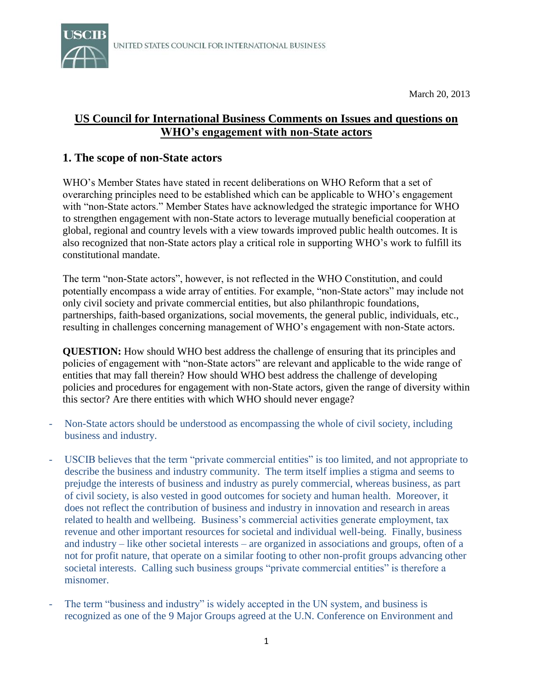

# **US Council for International Business Comments on Issues and questions on WHO's engagement with non-State actors**

## **1. The scope of non-State actors**

WHO's Member States have stated in recent deliberations on WHO Reform that a set of overarching principles need to be established which can be applicable to WHO's engagement with "non-State actors." Member States have acknowledged the strategic importance for WHO to strengthen engagement with non-State actors to leverage mutually beneficial cooperation at global, regional and country levels with a view towards improved public health outcomes. It is also recognized that non-State actors play a critical role in supporting WHO's work to fulfill its constitutional mandate.

The term "non-State actors", however, is not reflected in the WHO Constitution, and could potentially encompass a wide array of entities. For example, "non-State actors" may include not only civil society and private commercial entities, but also philanthropic foundations, partnerships, faith-based organizations, social movements, the general public, individuals, etc., resulting in challenges concerning management of WHO's engagement with non-State actors.

**QUESTION:** How should WHO best address the challenge of ensuring that its principles and policies of engagement with "non-State actors" are relevant and applicable to the wide range of entities that may fall therein? How should WHO best address the challenge of developing policies and procedures for engagement with non-State actors, given the range of diversity within this sector? Are there entities with which WHO should never engage?

- Non-State actors should be understood as encompassing the whole of civil society, including business and industry.
- USCIB believes that the term "private commercial entities" is too limited, and not appropriate to describe the business and industry community. The term itself implies a stigma and seems to prejudge the interests of business and industry as purely commercial, whereas business, as part of civil society, is also vested in good outcomes for society and human health. Moreover, it does not reflect the contribution of business and industry in innovation and research in areas related to health and wellbeing. Business's commercial activities generate employment, tax revenue and other important resources for societal and individual well-being. Finally, business and industry – like other societal interests – are organized in associations and groups, often of a not for profit nature, that operate on a similar footing to other non-profit groups advancing other societal interests. Calling such business groups "private commercial entities" is therefore a misnomer.
- The term "business and industry" is widely accepted in the UN system, and business is recognized as one of the 9 Major Groups agreed at the U.N. Conference on Environment and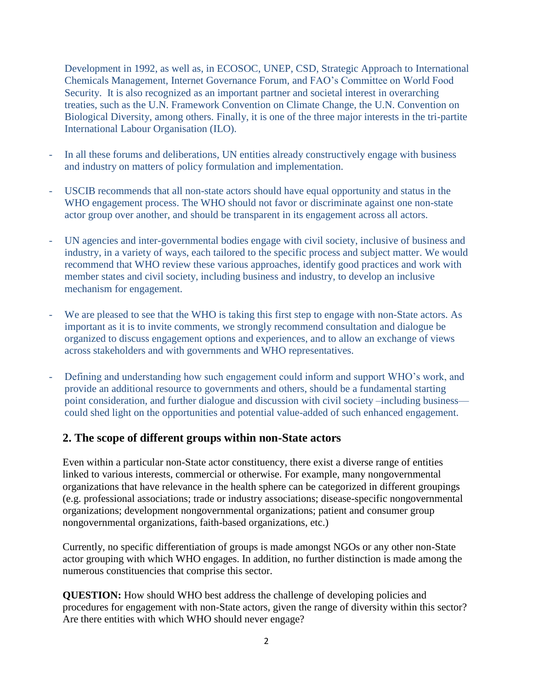Development in 1992, as well as, in ECOSOC, UNEP, CSD, Strategic Approach to International Chemicals Management, Internet Governance Forum, and FAO's Committee on World Food Security. It is also recognized as an important partner and societal interest in overarching treaties, such as the U.N. Framework Convention on Climate Change, the U.N. Convention on Biological Diversity, among others. Finally, it is one of the three major interests in the tri-partite International Labour Organisation (ILO).

- In all these forums and deliberations, UN entities already constructively engage with business and industry on matters of policy formulation and implementation.
- USCIB recommends that all non-state actors should have equal opportunity and status in the WHO engagement process. The WHO should not favor or discriminate against one non-state actor group over another, and should be transparent in its engagement across all actors.
- UN agencies and inter-governmental bodies engage with civil society, inclusive of business and industry, in a variety of ways, each tailored to the specific process and subject matter. We would recommend that WHO review these various approaches, identify good practices and work with member states and civil society, including business and industry, to develop an inclusive mechanism for engagement.
- We are pleased to see that the WHO is taking this first step to engage with non-State actors. As important as it is to invite comments, we strongly recommend consultation and dialogue be organized to discuss engagement options and experiences, and to allow an exchange of views across stakeholders and with governments and WHO representatives.
- Defining and understanding how such engagement could inform and support WHO's work, and provide an additional resource to governments and others, should be a fundamental starting point consideration, and further dialogue and discussion with civil society –including business could shed light on the opportunities and potential value-added of such enhanced engagement.

### **2. The scope of different groups within non-State actors**

Even within a particular non-State actor constituency, there exist a diverse range of entities linked to various interests, commercial or otherwise. For example, many nongovernmental organizations that have relevance in the health sphere can be categorized in different groupings (e.g. professional associations; trade or industry associations; disease-specific nongovernmental organizations; development nongovernmental organizations; patient and consumer group nongovernmental organizations, faith-based organizations, etc.)

Currently, no specific differentiation of groups is made amongst NGOs or any other non-State actor grouping with which WHO engages. In addition, no further distinction is made among the numerous constituencies that comprise this sector.

**QUESTION:** How should WHO best address the challenge of developing policies and procedures for engagement with non-State actors, given the range of diversity within this sector? Are there entities with which WHO should never engage?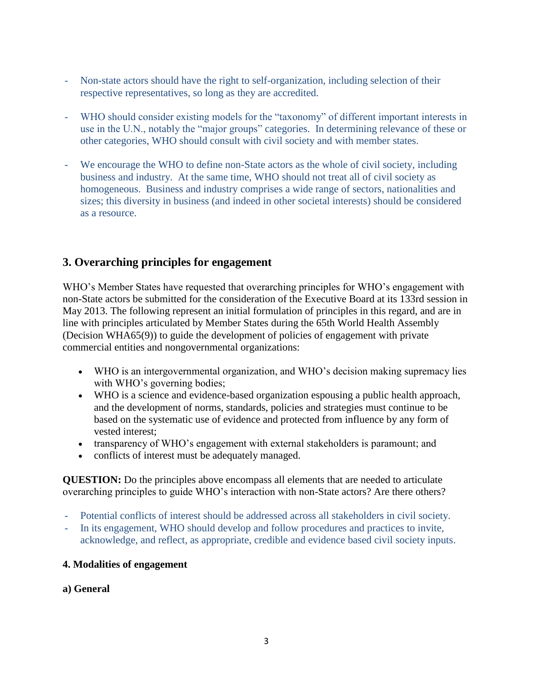- Non-state actors should have the right to self-organization, including selection of their respective representatives, so long as they are accredited.
- WHO should consider existing models for the "taxonomy" of different important interests in use in the U.N., notably the "major groups" categories. In determining relevance of these or other categories, WHO should consult with civil society and with member states.
- We encourage the WHO to define non-State actors as the whole of civil society, including business and industry. At the same time, WHO should not treat all of civil society as homogeneous. Business and industry comprises a wide range of sectors, nationalities and sizes; this diversity in business (and indeed in other societal interests) should be considered as a resource.

## **3. Overarching principles for engagement**

WHO's Member States have requested that overarching principles for WHO's engagement with non-State actors be submitted for the consideration of the Executive Board at its 133rd session in May 2013. The following represent an initial formulation of principles in this regard, and are in line with principles articulated by Member States during the 65th World Health Assembly (Decision WHA65(9)) to guide the development of policies of engagement with private commercial entities and nongovernmental organizations:

- WHO is an intergovernmental organization, and WHO's decision making supremacy lies with WHO's governing bodies;
- WHO is a science and evidence-based organization espousing a public health approach, and the development of norms, standards, policies and strategies must continue to be based on the systematic use of evidence and protected from influence by any form of vested interest;
- transparency of WHO's engagement with external stakeholders is paramount; and
- conflicts of interest must be adequately managed.

**QUESTION:** Do the principles above encompass all elements that are needed to articulate overarching principles to guide WHO's interaction with non-State actors? Are there others?

- Potential conflicts of interest should be addressed across all stakeholders in civil society.
- In its engagement, WHO should develop and follow procedures and practices to invite, acknowledge, and reflect, as appropriate, credible and evidence based civil society inputs.

#### **4. Modalities of engagement**

#### **a) General**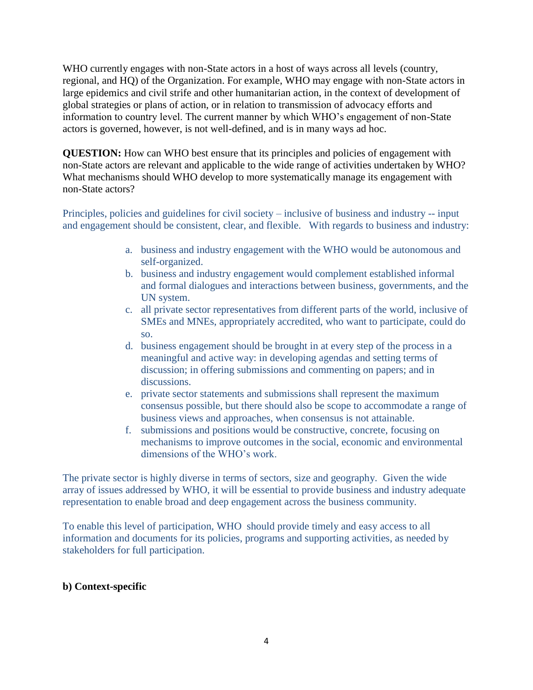WHO currently engages with non-State actors in a host of ways across all levels (country, regional, and HQ) of the Organization. For example, WHO may engage with non-State actors in large epidemics and civil strife and other humanitarian action, in the context of development of global strategies or plans of action, or in relation to transmission of advocacy efforts and information to country level. The current manner by which WHO's engagement of non-State actors is governed, however, is not well-defined, and is in many ways ad hoc.

**QUESTION:** How can WHO best ensure that its principles and policies of engagement with non-State actors are relevant and applicable to the wide range of activities undertaken by WHO? What mechanisms should WHO develop to more systematically manage its engagement with non-State actors?

Principles, policies and guidelines for civil society – inclusive of business and industry -- input and engagement should be consistent, clear, and flexible. With regards to business and industry:

- a. business and industry engagement with the WHO would be autonomous and self-organized.
- b. business and industry engagement would complement established informal and formal dialogues and interactions between business, governments, and the UN system.
- c. all private sector representatives from different parts of the world, inclusive of SMEs and MNEs, appropriately accredited, who want to participate, could do so.
- d. business engagement should be brought in at every step of the process in a meaningful and active way: in developing agendas and setting terms of discussion; in offering submissions and commenting on papers; and in discussions.
- e. private sector statements and submissions shall represent the maximum consensus possible, but there should also be scope to accommodate a range of business views and approaches, when consensus is not attainable.
- f. submissions and positions would be constructive, concrete, focusing on mechanisms to improve outcomes in the social, economic and environmental dimensions of the WHO's work.

The private sector is highly diverse in terms of sectors, size and geography. Given the wide array of issues addressed by WHO, it will be essential to provide business and industry adequate representation to enable broad and deep engagement across the business community.

To enable this level of participation, WHO should provide timely and easy access to all information and documents for its policies, programs and supporting activities, as needed by stakeholders for full participation.

#### **b) Context-specific**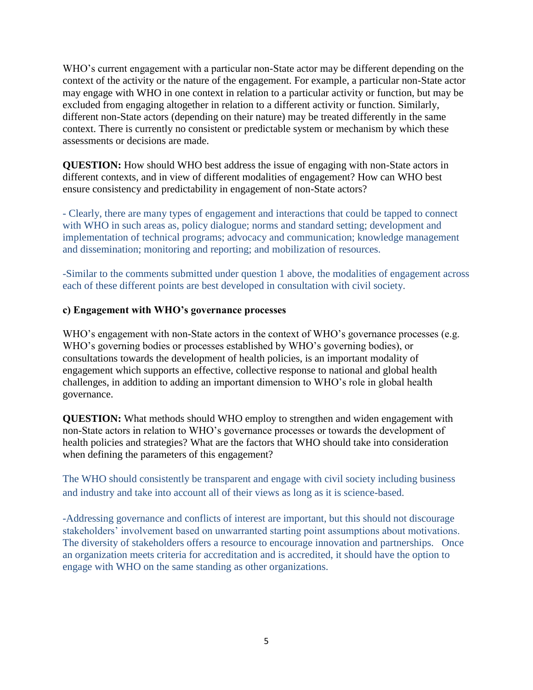WHO's current engagement with a particular non-State actor may be different depending on the context of the activity or the nature of the engagement. For example, a particular non-State actor may engage with WHO in one context in relation to a particular activity or function, but may be excluded from engaging altogether in relation to a different activity or function. Similarly, different non-State actors (depending on their nature) may be treated differently in the same context. There is currently no consistent or predictable system or mechanism by which these assessments or decisions are made.

**QUESTION:** How should WHO best address the issue of engaging with non-State actors in different contexts, and in view of different modalities of engagement? How can WHO best ensure consistency and predictability in engagement of non-State actors?

- Clearly, there are many types of engagement and interactions that could be tapped to connect with WHO in such areas as, policy dialogue; norms and standard setting; development and implementation of technical programs; advocacy and communication; knowledge management and dissemination; monitoring and reporting; and mobilization of resources.

-Similar to the comments submitted under question 1 above, the modalities of engagement across each of these different points are best developed in consultation with civil society.

#### **c) Engagement with WHO's governance processes**

WHO's engagement with non-State actors in the context of WHO's governance processes (e.g. WHO's governing bodies or processes established by WHO's governing bodies), or consultations towards the development of health policies, is an important modality of engagement which supports an effective, collective response to national and global health challenges, in addition to adding an important dimension to WHO's role in global health governance.

**QUESTION:** What methods should WHO employ to strengthen and widen engagement with non-State actors in relation to WHO's governance processes or towards the development of health policies and strategies? What are the factors that WHO should take into consideration when defining the parameters of this engagement?

The WHO should consistently be transparent and engage with civil society including business and industry and take into account all of their views as long as it is science-based.

-Addressing governance and conflicts of interest are important, but this should not discourage stakeholders' involvement based on unwarranted starting point assumptions about motivations. The diversity of stakeholders offers a resource to encourage innovation and partnerships. Once an organization meets criteria for accreditation and is accredited, it should have the option to engage with WHO on the same standing as other organizations.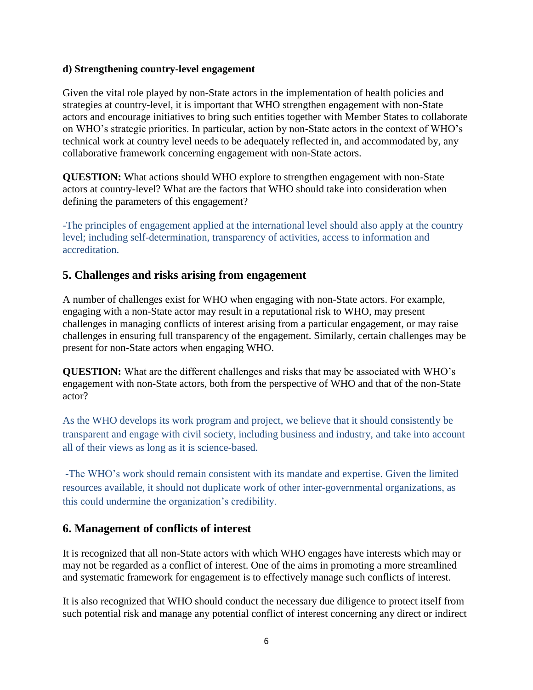#### **d) Strengthening country-level engagement**

Given the vital role played by non-State actors in the implementation of health policies and strategies at country-level, it is important that WHO strengthen engagement with non-State actors and encourage initiatives to bring such entities together with Member States to collaborate on WHO's strategic priorities. In particular, action by non-State actors in the context of WHO's technical work at country level needs to be adequately reflected in, and accommodated by, any collaborative framework concerning engagement with non-State actors.

**QUESTION:** What actions should WHO explore to strengthen engagement with non-State actors at country-level? What are the factors that WHO should take into consideration when defining the parameters of this engagement?

-The principles of engagement applied at the international level should also apply at the country level; including self-determination, transparency of activities, access to information and accreditation.

### **5. Challenges and risks arising from engagement**

A number of challenges exist for WHO when engaging with non-State actors. For example, engaging with a non-State actor may result in a reputational risk to WHO, may present challenges in managing conflicts of interest arising from a particular engagement, or may raise challenges in ensuring full transparency of the engagement. Similarly, certain challenges may be present for non-State actors when engaging WHO.

**QUESTION:** What are the different challenges and risks that may be associated with WHO's engagement with non-State actors, both from the perspective of WHO and that of the non-State actor?

As the WHO develops its work program and project, we believe that it should consistently be transparent and engage with civil society, including business and industry, and take into account all of their views as long as it is science-based.

-The WHO's work should remain consistent with its mandate and expertise. Given the limited resources available, it should not duplicate work of other inter-governmental organizations, as this could undermine the organization's credibility.

## **6. Management of conflicts of interest**

It is recognized that all non-State actors with which WHO engages have interests which may or may not be regarded as a conflict of interest. One of the aims in promoting a more streamlined and systematic framework for engagement is to effectively manage such conflicts of interest.

It is also recognized that WHO should conduct the necessary due diligence to protect itself from such potential risk and manage any potential conflict of interest concerning any direct or indirect